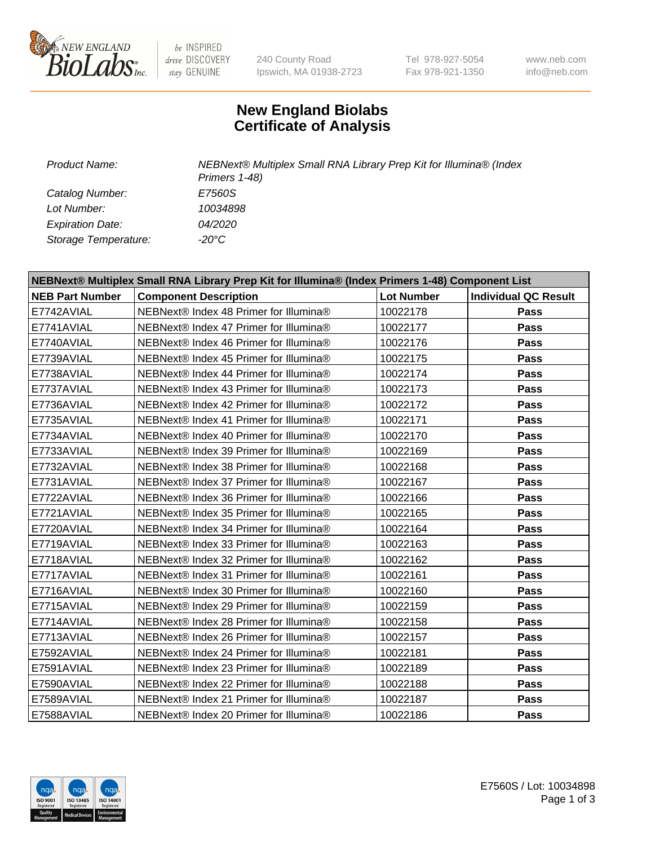

be INSPIRED drive DISCOVERY stay GENUINE

240 County Road Ipswich, MA 01938-2723 Tel 978-927-5054 Fax 978-921-1350

www.neb.com info@neb.com

## **New England Biolabs Certificate of Analysis**

*Catalog Number: E7560S Lot Number: 10034898 Expiration Date: 04/2020 Storage Temperature: -20°C*

*Product Name: NEBNext® Multiplex Small RNA Library Prep Kit for Illumina® (Index Primers 1-48)*

| NEBNext® Multiplex Small RNA Library Prep Kit for Illumina® (Index Primers 1-48) Component List |                                        |                   |                             |  |  |
|-------------------------------------------------------------------------------------------------|----------------------------------------|-------------------|-----------------------------|--|--|
| <b>NEB Part Number</b>                                                                          | <b>Component Description</b>           | <b>Lot Number</b> | <b>Individual QC Result</b> |  |  |
| E7742AVIAL                                                                                      | NEBNext® Index 48 Primer for Illumina® | 10022178          | <b>Pass</b>                 |  |  |
| E7741AVIAL                                                                                      | NEBNext® Index 47 Primer for Illumina® | 10022177          | <b>Pass</b>                 |  |  |
| E7740AVIAL                                                                                      | NEBNext® Index 46 Primer for Illumina® | 10022176          | <b>Pass</b>                 |  |  |
| E7739AVIAL                                                                                      | NEBNext® Index 45 Primer for Illumina® | 10022175          | <b>Pass</b>                 |  |  |
| E7738AVIAL                                                                                      | NEBNext® Index 44 Primer for Illumina® | 10022174          | Pass                        |  |  |
| E7737AVIAL                                                                                      | NEBNext® Index 43 Primer for Illumina® | 10022173          | Pass                        |  |  |
| E7736AVIAL                                                                                      | NEBNext® Index 42 Primer for Illumina® | 10022172          | <b>Pass</b>                 |  |  |
| E7735AVIAL                                                                                      | NEBNext® Index 41 Primer for Illumina® | 10022171          | Pass                        |  |  |
| E7734AVIAL                                                                                      | NEBNext® Index 40 Primer for Illumina® | 10022170          | <b>Pass</b>                 |  |  |
| E7733AVIAL                                                                                      | NEBNext® Index 39 Primer for Illumina® | 10022169          | <b>Pass</b>                 |  |  |
| E7732AVIAL                                                                                      | NEBNext® Index 38 Primer for Illumina® | 10022168          | Pass                        |  |  |
| E7731AVIAL                                                                                      | NEBNext® Index 37 Primer for Illumina® | 10022167          | <b>Pass</b>                 |  |  |
| E7722AVIAL                                                                                      | NEBNext® Index 36 Primer for Illumina® | 10022166          | <b>Pass</b>                 |  |  |
| E7721AVIAL                                                                                      | NEBNext® Index 35 Primer for Illumina® | 10022165          | Pass                        |  |  |
| E7720AVIAL                                                                                      | NEBNext® Index 34 Primer for Illumina® | 10022164          | Pass                        |  |  |
| E7719AVIAL                                                                                      | NEBNext® Index 33 Primer for Illumina® | 10022163          | <b>Pass</b>                 |  |  |
| E7718AVIAL                                                                                      | NEBNext® Index 32 Primer for Illumina® | 10022162          | <b>Pass</b>                 |  |  |
| E7717AVIAL                                                                                      | NEBNext® Index 31 Primer for Illumina® | 10022161          | Pass                        |  |  |
| E7716AVIAL                                                                                      | NEBNext® Index 30 Primer for Illumina® | 10022160          | <b>Pass</b>                 |  |  |
| E7715AVIAL                                                                                      | NEBNext® Index 29 Primer for Illumina® | 10022159          | <b>Pass</b>                 |  |  |
| E7714AVIAL                                                                                      | NEBNext® Index 28 Primer for Illumina® | 10022158          | Pass                        |  |  |
| E7713AVIAL                                                                                      | NEBNext® Index 26 Primer for Illumina® | 10022157          | <b>Pass</b>                 |  |  |
| E7592AVIAL                                                                                      | NEBNext® Index 24 Primer for Illumina® | 10022181          | Pass                        |  |  |
| E7591AVIAL                                                                                      | NEBNext® Index 23 Primer for Illumina® | 10022189          | <b>Pass</b>                 |  |  |
| E7590AVIAL                                                                                      | NEBNext® Index 22 Primer for Illumina® | 10022188          | Pass                        |  |  |
| E7589AVIAL                                                                                      | NEBNext® Index 21 Primer for Illumina® | 10022187          | Pass                        |  |  |
| E7588AVIAL                                                                                      | NEBNext® Index 20 Primer for Illumina® | 10022186          | <b>Pass</b>                 |  |  |

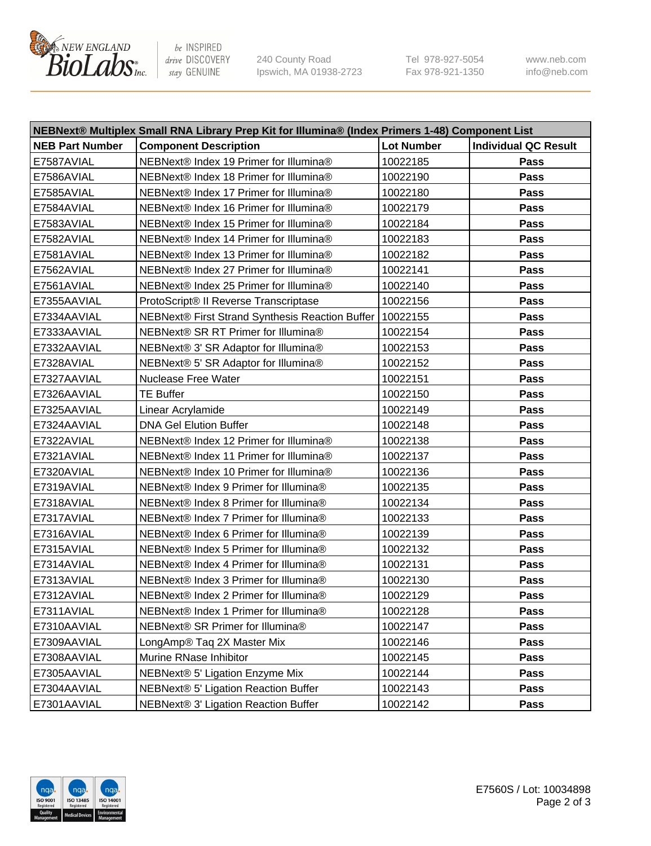

be INSPIRED drive DISCOVERY stay GENUINE

240 County Road Ipswich, MA 01938-2723 Tel 978-927-5054 Fax 978-921-1350 www.neb.com info@neb.com

| NEBNext® Multiplex Small RNA Library Prep Kit for Illumina® (Index Primers 1-48) Component List |                                                 |                   |                             |  |  |
|-------------------------------------------------------------------------------------------------|-------------------------------------------------|-------------------|-----------------------------|--|--|
| <b>NEB Part Number</b>                                                                          | <b>Component Description</b>                    | <b>Lot Number</b> | <b>Individual QC Result</b> |  |  |
| E7587AVIAL                                                                                      | NEBNext® Index 19 Primer for Illumina®          | 10022185          | Pass                        |  |  |
| E7586AVIAL                                                                                      | NEBNext® Index 18 Primer for Illumina®          | 10022190          | Pass                        |  |  |
| E7585AVIAL                                                                                      | NEBNext® Index 17 Primer for Illumina®          | 10022180          | Pass                        |  |  |
| E7584AVIAL                                                                                      | NEBNext® Index 16 Primer for Illumina®          | 10022179          | Pass                        |  |  |
| E7583AVIAL                                                                                      | NEBNext® Index 15 Primer for Illumina®          | 10022184          | Pass                        |  |  |
| E7582AVIAL                                                                                      | NEBNext® Index 14 Primer for Illumina®          | 10022183          | Pass                        |  |  |
| E7581AVIAL                                                                                      | NEBNext® Index 13 Primer for Illumina®          | 10022182          | Pass                        |  |  |
| E7562AVIAL                                                                                      | NEBNext® Index 27 Primer for Illumina®          | 10022141          | Pass                        |  |  |
| E7561AVIAL                                                                                      | NEBNext® Index 25 Primer for Illumina®          | 10022140          | Pass                        |  |  |
| E7355AAVIAL                                                                                     | ProtoScript® II Reverse Transcriptase           | 10022156          | Pass                        |  |  |
| E7334AAVIAL                                                                                     | NEBNext® First Strand Synthesis Reaction Buffer | 10022155          | Pass                        |  |  |
| E7333AAVIAL                                                                                     | NEBNext® SR RT Primer for Illumina®             | 10022154          | Pass                        |  |  |
| E7332AAVIAL                                                                                     | NEBNext® 3' SR Adaptor for Illumina®            | 10022153          | Pass                        |  |  |
| E7328AVIAL                                                                                      | NEBNext® 5' SR Adaptor for Illumina®            | 10022152          | Pass                        |  |  |
| E7327AAVIAL                                                                                     | <b>Nuclease Free Water</b>                      | 10022151          | Pass                        |  |  |
| E7326AAVIAL                                                                                     | <b>TE Buffer</b>                                | 10022150          | Pass                        |  |  |
| E7325AAVIAL                                                                                     | Linear Acrylamide                               | 10022149          | Pass                        |  |  |
| E7324AAVIAL                                                                                     | <b>DNA Gel Elution Buffer</b>                   | 10022148          | Pass                        |  |  |
| E7322AVIAL                                                                                      | NEBNext® Index 12 Primer for Illumina®          | 10022138          | Pass                        |  |  |
| E7321AVIAL                                                                                      | NEBNext® Index 11 Primer for Illumina®          | 10022137          | Pass                        |  |  |
| E7320AVIAL                                                                                      | NEBNext® Index 10 Primer for Illumina®          | 10022136          | Pass                        |  |  |
| E7319AVIAL                                                                                      | NEBNext® Index 9 Primer for Illumina®           | 10022135          | Pass                        |  |  |
| E7318AVIAL                                                                                      | NEBNext® Index 8 Primer for Illumina®           | 10022134          | Pass                        |  |  |
| E7317AVIAL                                                                                      | NEBNext® Index 7 Primer for Illumina®           | 10022133          | Pass                        |  |  |
| E7316AVIAL                                                                                      | NEBNext® Index 6 Primer for Illumina®           | 10022139          | Pass                        |  |  |
| E7315AVIAL                                                                                      | NEBNext® Index 5 Primer for Illumina®           | 10022132          | Pass                        |  |  |
| E7314AVIAL                                                                                      | NEBNext® Index 4 Primer for Illumina®           | 10022131          | Pass                        |  |  |
| E7313AVIAL                                                                                      | NEBNext® Index 3 Primer for Illumina®           | 10022130          | Pass                        |  |  |
| E7312AVIAL                                                                                      | NEBNext® Index 2 Primer for Illumina®           | 10022129          | Pass                        |  |  |
| E7311AVIAL                                                                                      | NEBNext® Index 1 Primer for Illumina®           | 10022128          | Pass                        |  |  |
| E7310AAVIAL                                                                                     | NEBNext® SR Primer for Illumina®                | 10022147          | <b>Pass</b>                 |  |  |
| E7309AAVIAL                                                                                     | LongAmp® Taq 2X Master Mix                      | 10022146          | Pass                        |  |  |
| E7308AAVIAL                                                                                     | Murine RNase Inhibitor                          | 10022145          | Pass                        |  |  |
| E7305AAVIAL                                                                                     | NEBNext® 5' Ligation Enzyme Mix                 | 10022144          | Pass                        |  |  |
| E7304AAVIAL                                                                                     | NEBNext® 5' Ligation Reaction Buffer            | 10022143          | Pass                        |  |  |
| E7301AAVIAL                                                                                     | NEBNext® 3' Ligation Reaction Buffer            | 10022142          | Pass                        |  |  |